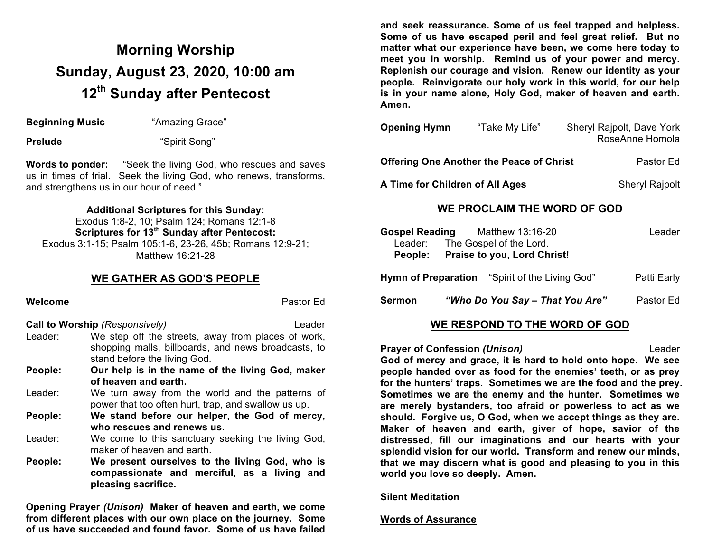# **Morning Worship Sunday, August 23, 2020, 10:00 am 12th Sunday after Pentecost**

**Beginning Music** "Amazing Grace"

**Prelude** "Spirit Song"

**Words to ponder:** "Seek the living God, who rescues and saves us in times of trial. Seek the living God, who renews, transforms, and strengthens us in our hour of need."

#### **Additional Scriptures for this Sunday:**

Exodus 1:8-2, 10; Psalm 124; Romans 12:1-8 **Scriptures for 13th Sunday after Pentecost:**  Exodus 3:1-15; Psalm 105:1-6, 23-26, 45b; Romans 12:9-21; Matthew 16:21-28

### **WE GATHER AS GOD'S PEOPLE**

#### **Welcome** Pastor Education **Pastor Education** Pastor Education **Pastor** Education **Pastor** Education **Pastor** Education **Pastor**

**Call to Worship** *(Responsively)* Leader

- Leader: We step off the streets, away from places of work, shopping malls, billboards, and news broadcasts, to stand before the living God.
- **People: Our help is in the name of the living God, maker of heaven and earth.**
- Leader: We turn away from the world and the patterns of power that too often hurt, trap, and swallow us up.
- **People: We stand before our helper, the God of mercy, who rescues and renews us.**
- Leader: We come to this sanctuary seeking the living God, maker of heaven and earth.
- **People: We present ourselves to the living God, who is compassionate and merciful, as a living and pleasing sacrifice.**

**Opening Prayer** *(Unison)* **Maker of heaven and earth, we come from different places with our own place on the journey. Some of us have succeeded and found favor. Some of us have failed** 

**and seek reassurance. Some of us feel trapped and helpless. Some of us have escaped peril and feel great relief. But no matter what our experience have been, we come here today to meet you in worship. Remind us of your power and mercy. Replenish our courage and vision. Renew our identity as your people. Reinvigorate our holy work in this world, for our help is in your name alone, Holy God, maker of heaven and earth. Amen.**

| <b>Opening Hymn</b>                             | "Take My Life" | Sheryl Rajpolt, Dave York<br>RoseAnne Homola |
|-------------------------------------------------|----------------|----------------------------------------------|
| <b>Offering One Another the Peace of Christ</b> | Pastor Ed      |                                              |

**A Time for Children of All Ages** Sheryl Rajpolt

### **WE PROCLAIM THE WORD OF GOD**

|        | Gospel Reading Matthew 13:16-20<br>Leader: The Gospel of the Lord.<br>People: Praise to you, Lord Christ! | Leader      |
|--------|-----------------------------------------------------------------------------------------------------------|-------------|
|        | <b>Hymn of Preparation</b> "Spirit of the Living God"                                                     | Patti Early |
| Sermon | "Who Do You Say - That You Are"                                                                           | Pastor Ed   |
|        |                                                                                                           |             |

## **WE RESPOND TO THE WORD OF GOD**

**Prayer of Confession (Unison)** Leader **God of mercy and grace, it is hard to hold onto hope. We see people handed over as food for the enemies' teeth, or as prey for the hunters' traps. Sometimes we are the food and the prey. Sometimes we are the enemy and the hunter. Sometimes we are merely bystanders, too afraid or powerless to act as we should. Forgive us, O God, when we accept things as they are. Maker of heaven and earth, giver of hope, savior of the distressed, fill our imaginations and our hearts with your splendid vision for our world. Transform and renew our minds, that we may discern what is good and pleasing to you in this world you love so deeply. Amen.**

#### **Silent Meditation**

#### **Words of Assurance**